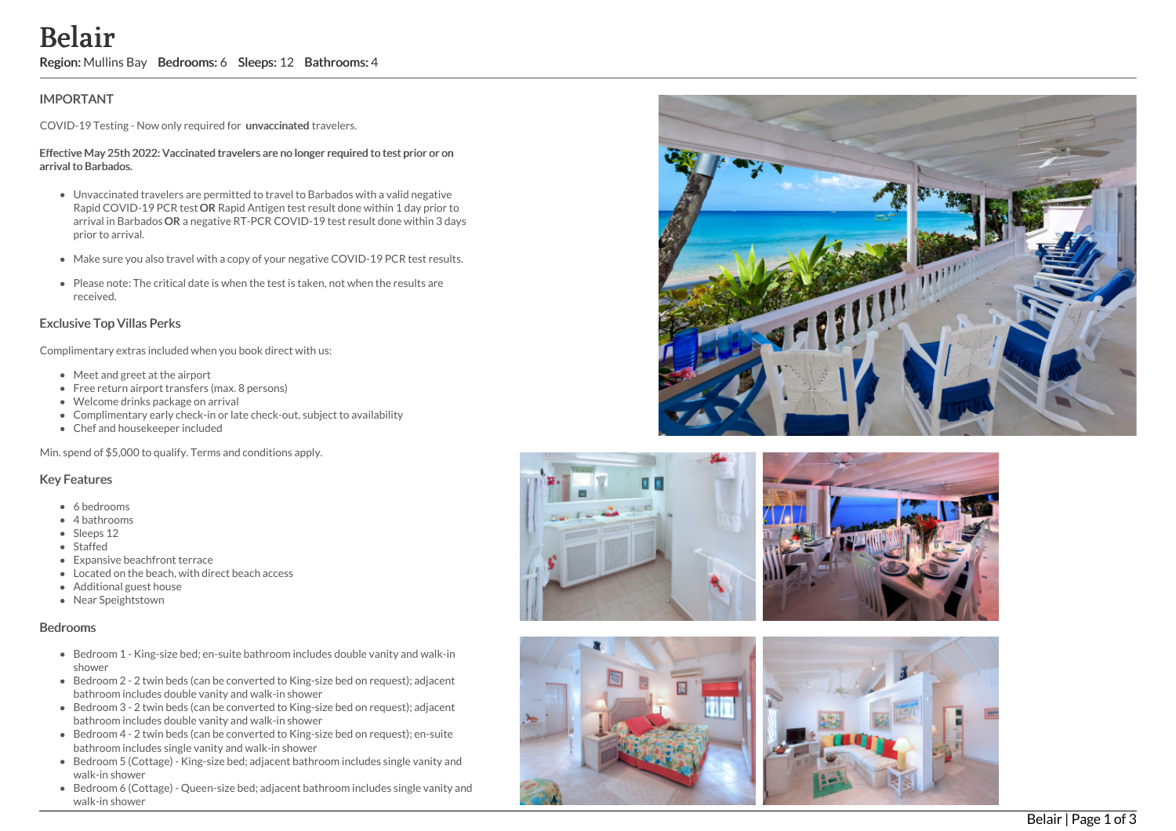# **Belair**

Region: Mullins Bay Bedrooms: 6 Sleeps: 12 Bathrooms: 4

## **IMPORTANT**

COVID-19 Testing - Now only required for unvaccinated travelers.

#### Effective May 25th 2022: Vaccinated travelers are no longer required to test prior or on arrival to Barbados.

- Unvaccinated travelers are permitted to travel to Barbados with a valid negative Rapid COVID-19 PCR test OR Rapid Antigen test result done within 1 day prior to arrival in Barbados OR a negative RT-PCR COVID-19 test result done within 3 days prior to arrival.
- Make sure you also travel with a copy of your negative COVID-19 PCR test results.
- Please note: The critical date is when the test is taken, not when the results are received.

### Exclusive Top Villas Perks

Complimentary extras included when you book direct with us:

- Meet and greet at the airport
- Free return airport transfers (max. 8 persons)
- Welcome drinks package on arrival
- Complimentary early check-in or late check-out, subject to availability
- Chef and housekeeper included

Min. spend of \$5,000 to qualify. Terms and conditions apply.

#### Key Features

- 6 bedrooms
- 4 bathrooms
- Sleeps 12
- Staffed
- Expansive beachfront terrace
- $\bullet$  Located on the beach, with direct beach access
- Additional guest house
- Near Speightstown

#### Bedrooms

- Bedroom 1 King-size bed; en-suite bathroom includes double vanity and walk-in shower
- Bedroom 2 2 twin beds (can be converted to King-size bed on request); adjacent bathroom includes double vanity and walk-in shower
- Bedroom 3 2 twin beds (can be converted to King-size bed on request); adjacent bathroom includes double vanity and walk-in shower
- Bedroom 4 2 twin beds (can be converted to King-size bed on request); en-suite bathroom includes single vanity and walk-in shower
- Bedroom 5 (Cottage) King-size bed; adjacent bathroom includes single vanity and walk-in shower
- Bedroom 6 (Cottage) Queen-size bed; adjacent bathroom includes single vanity an d walk-in shower







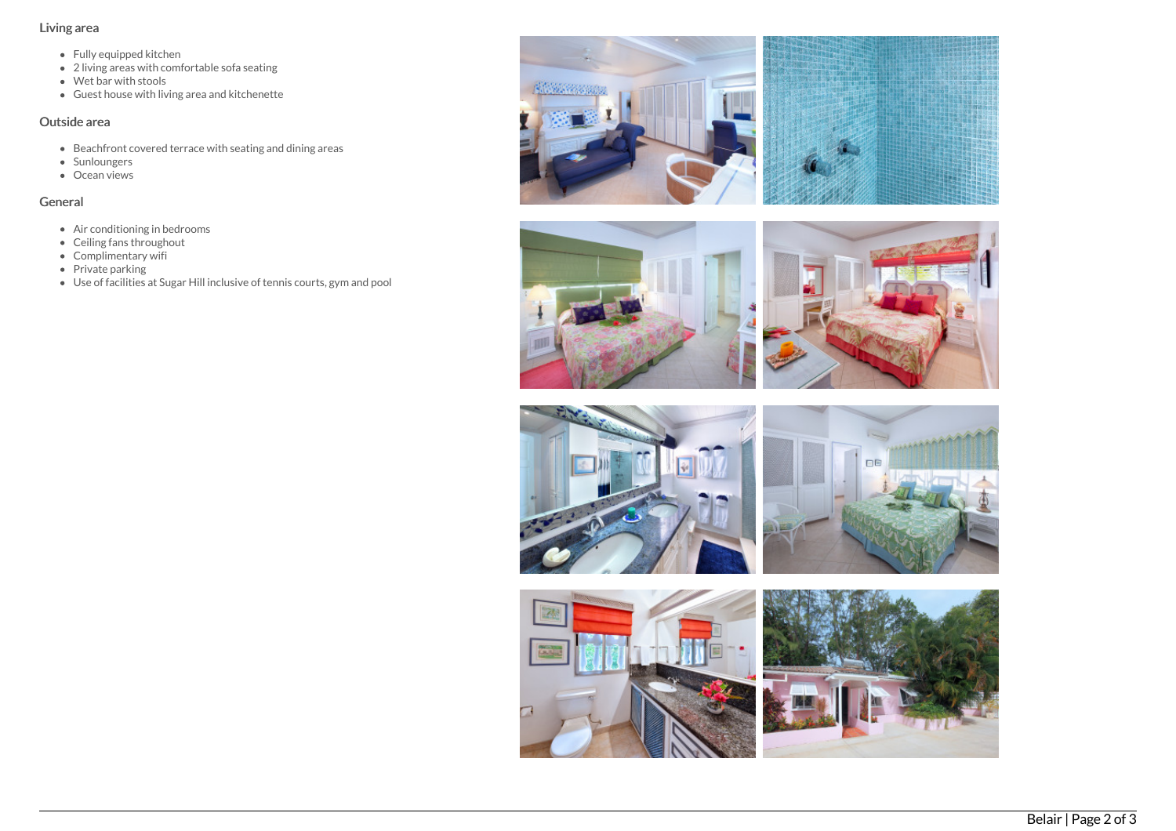## Living area

- Fully equipped kitchen
- 2 living areas with comfortable sofa seating
- Wet bar with stools
- Guest house with living area and kitchenette

## Outside area

- Beachfront covered terrace with seating and dining areas
- **Sunloungers**
- Ocean views

## General

- Air conditioning in bedrooms
- Ceiling fans throughout
- Complimentary wifi
- $\bullet$  Private parking
- Use of facilities at Sugar Hill inclusive of tennis courts, gym and pool